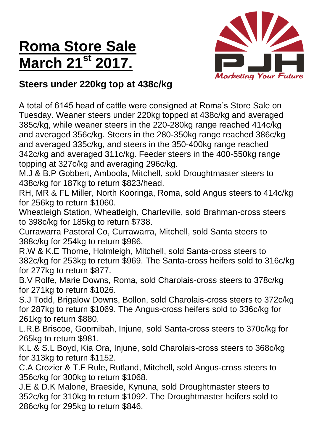# **Roma Store Sale March 21st 2017.**



### **Steers under 220kg top at 438c/kg**

A total of 6145 head of cattle were consigned at Roma's Store Sale on Tuesday. Weaner steers under 220kg topped at 438c/kg and averaged 385c/kg, while weaner steers in the 220-280kg range reached 414c/kg and averaged 356c/kg. Steers in the 280-350kg range reached 386c/kg and averaged 335c/kg, and steers in the 350-400kg range reached 342c/kg and averaged 311c/kg. Feeder steers in the 400-550kg range topping at 327c/kg and averaging 296c/kg.

M.J & B.P Gobbert, Amboola, Mitchell, sold Droughtmaster steers to 438c/kg for 187kg to return \$823/head.

RH, MR & FL Miller, North Kooringa, Roma, sold Angus steers to 414c/kg for 256kg to return \$1060.

Wheatleigh Station, Wheatleigh, Charleville, sold Brahman-cross steers to 398c/kg for 185kg to return \$738.

Currawarra Pastoral Co, Currawarra, Mitchell, sold Santa steers to 388c/kg for 254kg to return \$986.

R.W & K.E Thorne, Holmleigh, Mitchell, sold Santa-cross steers to 382c/kg for 253kg to return \$969. The Santa-cross heifers sold to 316c/kg for 277kg to return \$877.

B.V Rolfe, Marie Downs, Roma, sold Charolais-cross steers to 378c/kg for 271kg to return \$1026.

S.J Todd, Brigalow Downs, Bollon, sold Charolais-cross steers to 372c/kg for 287kg to return \$1069. The Angus-cross heifers sold to 336c/kg for 261kg to return \$880.

L.R.B Briscoe, Goomibah, Injune, sold Santa-cross steers to 370c/kg for 265kg to return \$981.

K.L & S.L Boyd, Kia Ora, Injune, sold Charolais-cross steers to 368c/kg for 313kg to return \$1152.

C.A Crozier & T.F Rule, Rutland, Mitchell, sold Angus-cross steers to 356c/kg for 300kg to return \$1068.

J.E & D.K Malone, Braeside, Kynuna, sold Droughtmaster steers to 352c/kg for 310kg to return \$1092. The Droughtmaster heifers sold to 286c/kg for 295kg to return \$846.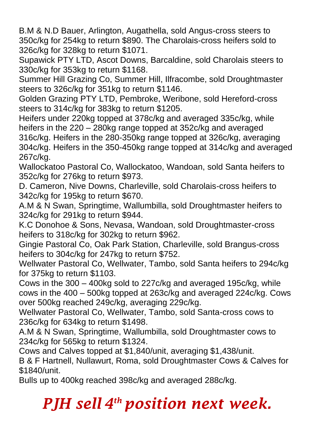B.M & N.D Bauer, Arlington, Augathella, sold Angus-cross steers to 350c/kg for 254kg to return \$890. The Charolais-cross heifers sold to 326c/kg for 328kg to return \$1071.

Supawick PTY LTD, Ascot Downs, Barcaldine, sold Charolais steers to 330c/kg for 353kg to return \$1168.

Summer Hill Grazing Co, Summer Hill, Ilfracombe, sold Droughtmaster steers to 326c/kg for 351kg to return \$1146.

Golden Grazing PTY LTD, Pembroke, Weribone, sold Hereford-cross steers to 314c/kg for 383kg to return \$1205.

Heifers under 220kg topped at 378c/kg and averaged 335c/kg, while heifers in the 220 – 280kg range topped at 352c/kg and averaged 316c/kg. Heifers in the 280-350kg range topped at 326c/kg, averaging 304c/kg. Heifers in the 350-450kg range topped at 314c/kg and averaged 267c/kg.

Wallockatoo Pastoral Co, Wallockatoo, Wandoan, sold Santa heifers to 352c/kg for 276kg to return \$973.

D. Cameron, Nive Downs, Charleville, sold Charolais-cross heifers to 342c/kg for 195kg to return \$670.

A.M & N Swan, Springtime, Wallumbilla, sold Droughtmaster heifers to 324c/kg for 291kg to return \$944.

K.C Donohoe & Sons, Nevasa, Wandoan, sold Droughtmaster-cross heifers to 318c/kg for 302kg to return \$962.

Gingie Pastoral Co, Oak Park Station, Charleville, sold Brangus-cross heifers to 304c/kg for 247kg to return \$752.

Wellwater Pastoral Co, Wellwater, Tambo, sold Santa heifers to 294c/kg for 375kg to return \$1103.

Cows in the 300 – 400kg sold to 227c/kg and averaged 195c/kg, while cows in the 400 – 500kg topped at 263c/kg and averaged 224c/kg. Cows over 500kg reached 249c/kg, averaging 229c/kg.

Wellwater Pastoral Co, Wellwater, Tambo, sold Santa-cross cows to 236c/kg for 634kg to return \$1498.

A.M & N Swan, Springtime, Wallumbilla, sold Droughtmaster cows to 234c/kg for 565kg to return \$1324.

Cows and Calves topped at \$1,840/unit, averaging \$1,438/unit.

B & F Hartnell, Nullawurt, Roma, sold Droughtmaster Cows & Calves for \$1840/unit.

Bulls up to 400kg reached 398c/kg and averaged 288c/kg.

# *PJH sell 4 th position next week.*